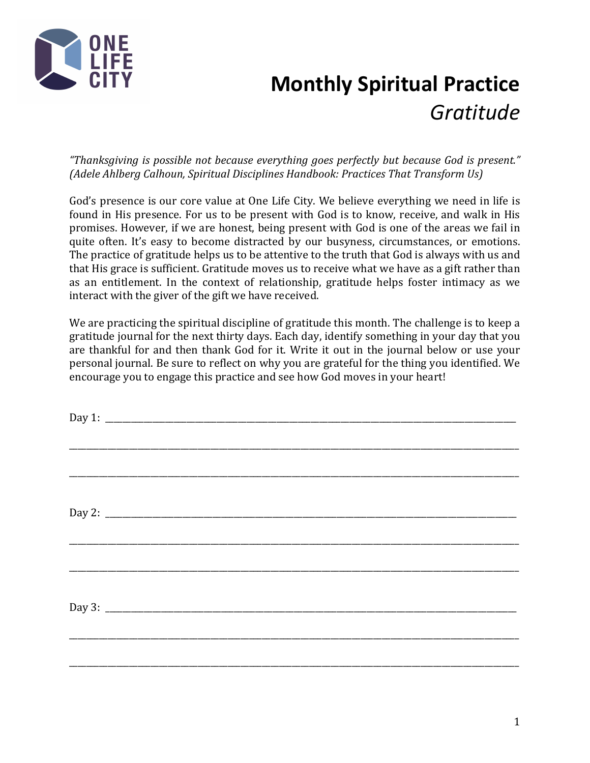

## **Monthly Spiritual Practice** *Gratitude*

"Thanksgiving is possible not because everything goes perfectly but because God is present." *(Adele Ahlberg Calhoun, Spiritual Disciplines Handbook: Practices That Transform Us)* 

God's presence is our core value at One Life City. We believe everything we need in life is found in His presence. For us to be present with God is to know, receive, and walk in His promises. However, if we are honest, being present with God is one of the areas we fail in quite often. It's easy to become distracted by our busyness, circumstances, or emotions. The practice of gratitude helps us to be attentive to the truth that God is always with us and that His grace is sufficient. Gratitude moves us to receive what we have as a gift rather than as an entitlement. In the context of relationship, gratitude helps foster intimacy as we interact with the giver of the gift we have received.

We are practicing the spiritual discipline of gratitude this month. The challenge is to keep a gratitude journal for the next thirty days. Each day, identify something in your day that you are thankful for and then thank God for it. Write it out in the journal below or use your personal journal. Be sure to reflect on why you are grateful for the thing you identified. We encourage you to engage this practice and see how God moves in your heart!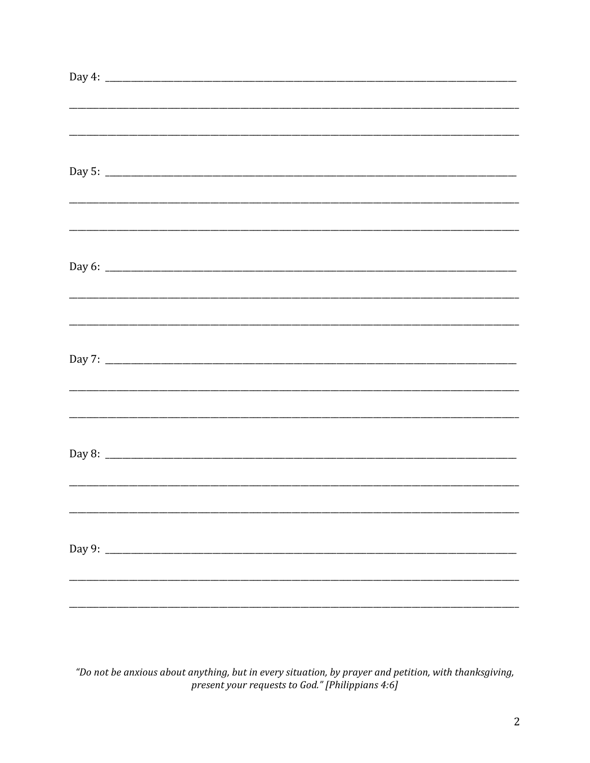| <u> 1980 - Johann Stoff, deutscher Stoffen und der Stoffen und der Stoffen und der Stoffen und der Stoffen und de</u> |  |  |  |
|-----------------------------------------------------------------------------------------------------------------------|--|--|--|
|                                                                                                                       |  |  |  |
|                                                                                                                       |  |  |  |
|                                                                                                                       |  |  |  |
|                                                                                                                       |  |  |  |
|                                                                                                                       |  |  |  |
|                                                                                                                       |  |  |  |
|                                                                                                                       |  |  |  |
|                                                                                                                       |  |  |  |
|                                                                                                                       |  |  |  |
|                                                                                                                       |  |  |  |
|                                                                                                                       |  |  |  |
|                                                                                                                       |  |  |  |
|                                                                                                                       |  |  |  |
|                                                                                                                       |  |  |  |

"Do not be anxious about anything, but in every situation, by prayer and petition, with thanksgiving, present your requests to God." [Philippians 4:6]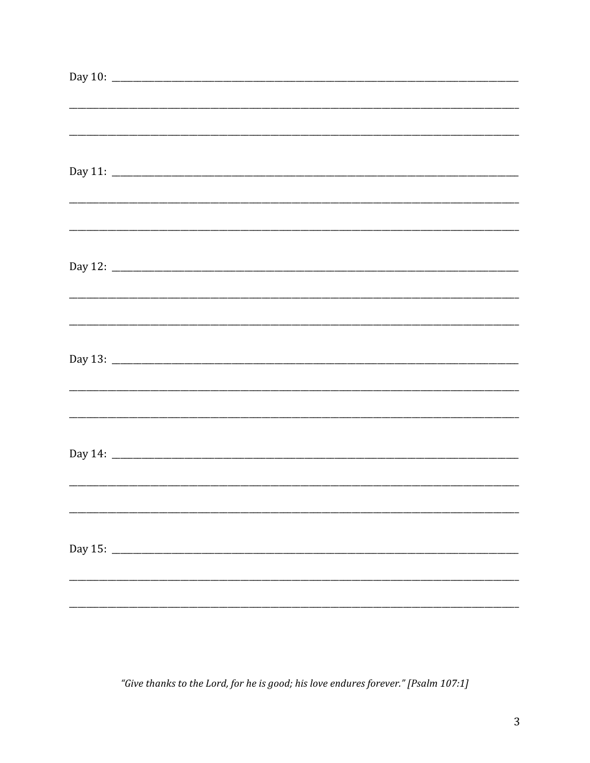"Give thanks to the Lord, for he is good; his love endures forever." [Psalm 107:1]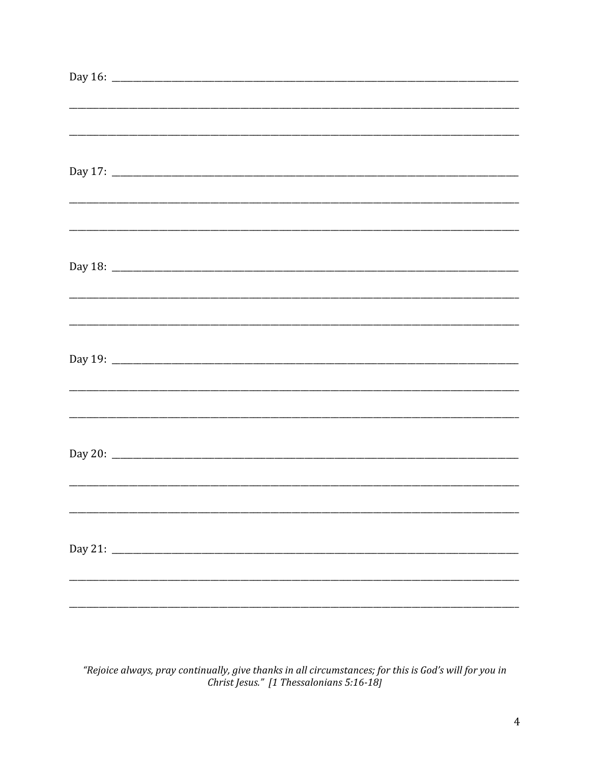| Day 16: $\frac{1}{2}$ and $\frac{1}{2}$ and $\frac{1}{2}$ and $\frac{1}{2}$ and $\frac{1}{2}$ and $\frac{1}{2}$ and $\frac{1}{2}$ and $\frac{1}{2}$ and $\frac{1}{2}$ and $\frac{1}{2}$ and $\frac{1}{2}$ and $\frac{1}{2}$ and $\frac{1}{2}$ and $\frac{1}{2}$ and $\frac{1}{2}$ and $\frac$ |                                                                                                                       |  |  |  |
|-----------------------------------------------------------------------------------------------------------------------------------------------------------------------------------------------------------------------------------------------------------------------------------------------|-----------------------------------------------------------------------------------------------------------------------|--|--|--|
|                                                                                                                                                                                                                                                                                               |                                                                                                                       |  |  |  |
|                                                                                                                                                                                                                                                                                               |                                                                                                                       |  |  |  |
|                                                                                                                                                                                                                                                                                               |                                                                                                                       |  |  |  |
|                                                                                                                                                                                                                                                                                               |                                                                                                                       |  |  |  |
|                                                                                                                                                                                                                                                                                               |                                                                                                                       |  |  |  |
|                                                                                                                                                                                                                                                                                               |                                                                                                                       |  |  |  |
|                                                                                                                                                                                                                                                                                               |                                                                                                                       |  |  |  |
|                                                                                                                                                                                                                                                                                               |                                                                                                                       |  |  |  |
|                                                                                                                                                                                                                                                                                               | <u> 1989 - Johann Stoff, deutscher Stoff, der Stoff, der Stoff, der Stoff, der Stoff, der Stoff, der Stoff, der S</u> |  |  |  |
|                                                                                                                                                                                                                                                                                               |                                                                                                                       |  |  |  |
|                                                                                                                                                                                                                                                                                               | ,我们的人们就会在这里的人们,我们的人们就会在这里,我们的人们就会在这里,我们的人们就会在这里,我们的人们就会在这里,我们的人们就会在这里,我们的人们就会在这里                                      |  |  |  |
|                                                                                                                                                                                                                                                                                               |                                                                                                                       |  |  |  |
|                                                                                                                                                                                                                                                                                               |                                                                                                                       |  |  |  |
|                                                                                                                                                                                                                                                                                               |                                                                                                                       |  |  |  |
|                                                                                                                                                                                                                                                                                               |                                                                                                                       |  |  |  |
|                                                                                                                                                                                                                                                                                               |                                                                                                                       |  |  |  |
|                                                                                                                                                                                                                                                                                               |                                                                                                                       |  |  |  |
|                                                                                                                                                                                                                                                                                               |                                                                                                                       |  |  |  |
|                                                                                                                                                                                                                                                                                               |                                                                                                                       |  |  |  |
|                                                                                                                                                                                                                                                                                               |                                                                                                                       |  |  |  |
|                                                                                                                                                                                                                                                                                               |                                                                                                                       |  |  |  |
|                                                                                                                                                                                                                                                                                               |                                                                                                                       |  |  |  |
|                                                                                                                                                                                                                                                                                               |                                                                                                                       |  |  |  |
|                                                                                                                                                                                                                                                                                               |                                                                                                                       |  |  |  |
|                                                                                                                                                                                                                                                                                               |                                                                                                                       |  |  |  |
|                                                                                                                                                                                                                                                                                               |                                                                                                                       |  |  |  |
|                                                                                                                                                                                                                                                                                               |                                                                                                                       |  |  |  |
|                                                                                                                                                                                                                                                                                               |                                                                                                                       |  |  |  |
|                                                                                                                                                                                                                                                                                               |                                                                                                                       |  |  |  |
|                                                                                                                                                                                                                                                                                               |                                                                                                                       |  |  |  |
|                                                                                                                                                                                                                                                                                               |                                                                                                                       |  |  |  |
|                                                                                                                                                                                                                                                                                               |                                                                                                                       |  |  |  |
|                                                                                                                                                                                                                                                                                               |                                                                                                                       |  |  |  |
|                                                                                                                                                                                                                                                                                               |                                                                                                                       |  |  |  |
|                                                                                                                                                                                                                                                                                               |                                                                                                                       |  |  |  |
|                                                                                                                                                                                                                                                                                               |                                                                                                                       |  |  |  |
|                                                                                                                                                                                                                                                                                               |                                                                                                                       |  |  |  |

"Rejoice always, pray continually, give thanks in all circumstances; for this is God's will for you in<br>Christ Jesus." [1 Thessalonians 5:16-18]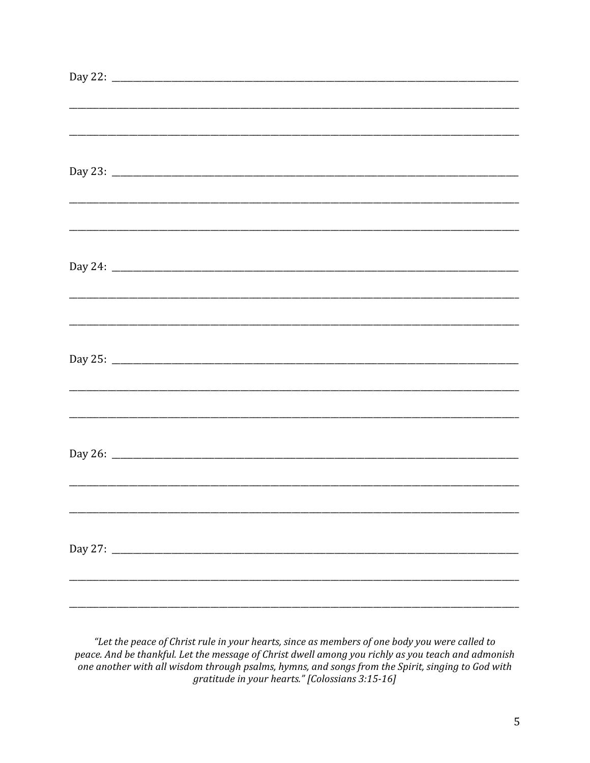| <u> 1999 - Johann Barbert, mars and de format de la componentation de la componentation de la componentation de l</u> |  |  |  |
|-----------------------------------------------------------------------------------------------------------------------|--|--|--|
|                                                                                                                       |  |  |  |
|                                                                                                                       |  |  |  |
|                                                                                                                       |  |  |  |
|                                                                                                                       |  |  |  |
|                                                                                                                       |  |  |  |
|                                                                                                                       |  |  |  |
|                                                                                                                       |  |  |  |
|                                                                                                                       |  |  |  |
|                                                                                                                       |  |  |  |
|                                                                                                                       |  |  |  |
|                                                                                                                       |  |  |  |
|                                                                                                                       |  |  |  |
|                                                                                                                       |  |  |  |
|                                                                                                                       |  |  |  |
|                                                                                                                       |  |  |  |
|                                                                                                                       |  |  |  |
|                                                                                                                       |  |  |  |
|                                                                                                                       |  |  |  |
|                                                                                                                       |  |  |  |
|                                                                                                                       |  |  |  |
|                                                                                                                       |  |  |  |
|                                                                                                                       |  |  |  |
|                                                                                                                       |  |  |  |
|                                                                                                                       |  |  |  |
|                                                                                                                       |  |  |  |
|                                                                                                                       |  |  |  |
|                                                                                                                       |  |  |  |

"Let the peace of Christ rule in your hearts, since as members of one body you were called to peace. And be thankful. Let the message of Christ dwell among you richly as you teach and admonish one another with all wisdom through psalms, hymns, and songs from the Spirit, singing to God with gratitude in your hearts." [Colossians 3:15-16]